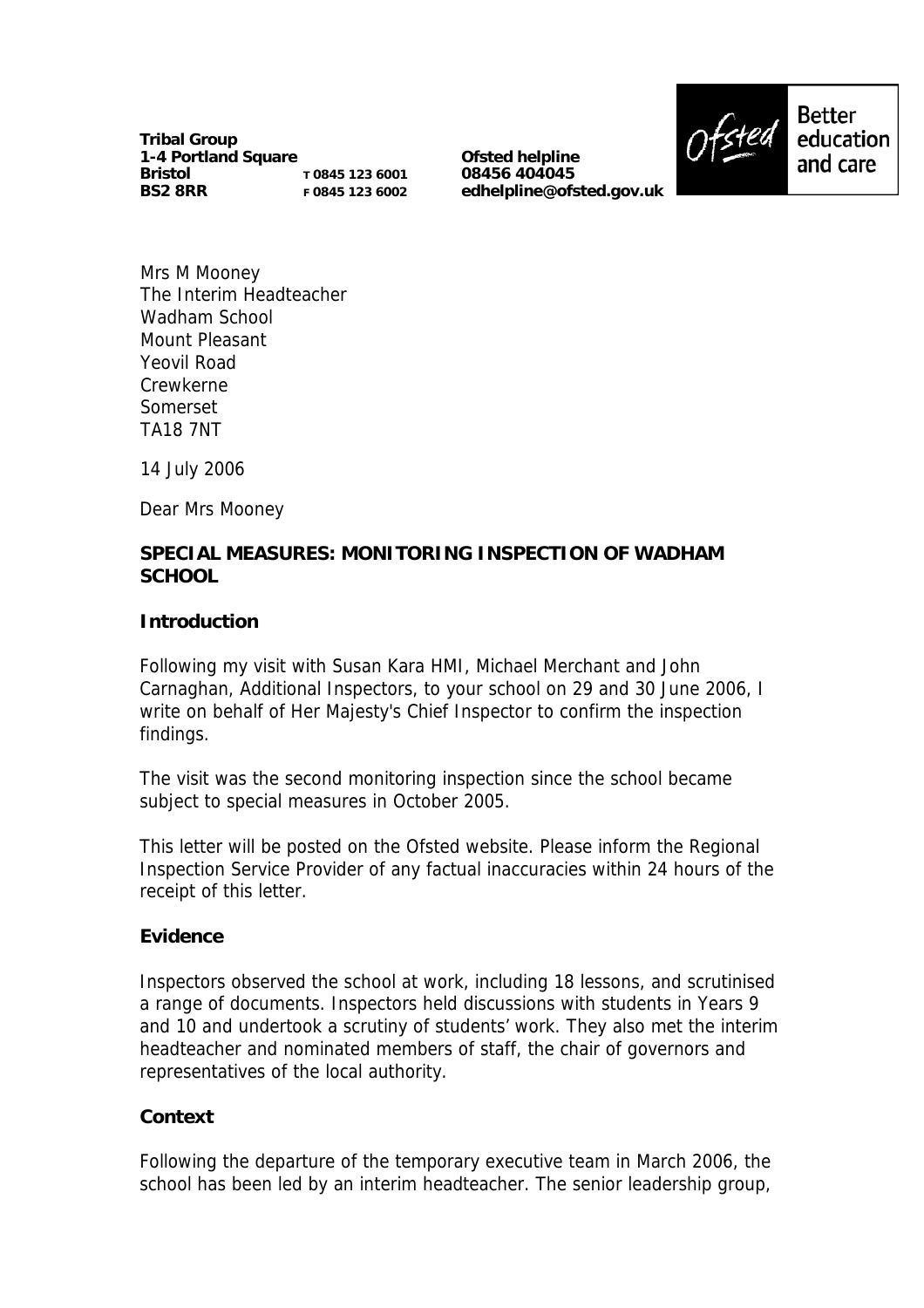**Tribal Group 1-4 Portland Square Bristol BS2 8RR T 0845 123 6001 F 0845 123 6002**

**Ofsted helpline 08456 404045 edhelpline@ofsted.gov.uk**



Mrs M Mooney The Interim Headteacher Wadham School Mount Pleasant Yeovil Road Crewkerne Somerset TA18 7NT

14 July 2006

Dear Mrs Mooney

## **SPECIAL MEASURES: MONITORING INSPECTION OF WADHAM SCHOOL**

#### **Introduction**

Following my visit with Susan Kara HMI, Michael Merchant and John Carnaghan, Additional Inspectors, to your school on 29 and 30 June 2006, I write on behalf of Her Majesty's Chief Inspector to confirm the inspection findings.

The visit was the second monitoring inspection since the school became subject to special measures in October 2005.

This letter will be posted on the Ofsted website. Please inform the Regional Inspection Service Provider of any factual inaccuracies within 24 hours of the receipt of this letter.

#### **Evidence**

Inspectors observed the school at work, including 18 lessons, and scrutinised a range of documents. Inspectors held discussions with students in Years 9 and 10 and undertook a scrutiny of students' work. They also met the interim headteacher and nominated members of staff, the chair of governors and representatives of the local authority.

### **Context**

Following the departure of the temporary executive team in March 2006, the school has been led by an interim headteacher. The senior leadership group,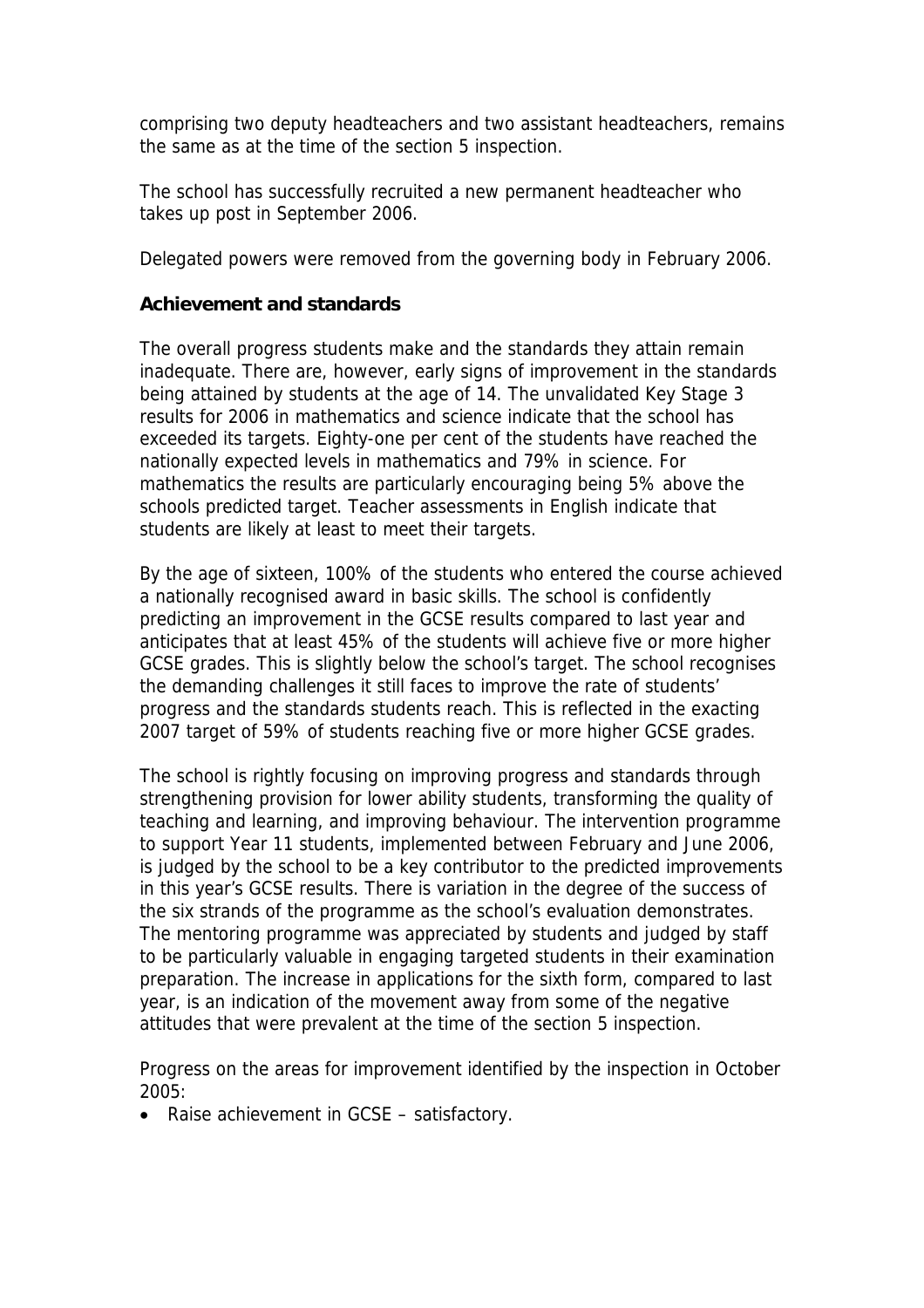comprising two deputy headteachers and two assistant headteachers, remains the same as at the time of the section 5 inspection.

The school has successfully recruited a new permanent headteacher who takes up post in September 2006.

Delegated powers were removed from the governing body in February 2006.

## **Achievement and standards**

The overall progress students make and the standards they attain remain inadequate. There are, however, early signs of improvement in the standards being attained by students at the age of 14. The unvalidated Key Stage 3 results for 2006 in mathematics and science indicate that the school has exceeded its targets. Eighty-one per cent of the students have reached the nationally expected levels in mathematics and 79% in science. For mathematics the results are particularly encouraging being 5% above the schools predicted target. Teacher assessments in English indicate that students are likely at least to meet their targets.

By the age of sixteen, 100% of the students who entered the course achieved a nationally recognised award in basic skills. The school is confidently predicting an improvement in the GCSE results compared to last year and anticipates that at least 45% of the students will achieve five or more higher GCSE grades. This is slightly below the school's target. The school recognises the demanding challenges it still faces to improve the rate of students' progress and the standards students reach. This is reflected in the exacting 2007 target of 59% of students reaching five or more higher GCSE grades.

The school is rightly focusing on improving progress and standards through strengthening provision for lower ability students, transforming the quality of teaching and learning, and improving behaviour. The intervention programme to support Year 11 students, implemented between February and June 2006, is judged by the school to be a key contributor to the predicted improvements in this year's GCSE results. There is variation in the degree of the success of the six strands of the programme as the school's evaluation demonstrates. The mentoring programme was appreciated by students and judged by staff to be particularly valuable in engaging targeted students in their examination preparation. The increase in applications for the sixth form, compared to last year, is an indication of the movement away from some of the negative attitudes that were prevalent at the time of the section 5 inspection.

Progress on the areas for improvement identified by the inspection in October 2005:

• Raise achievement in GCSE – satisfactory.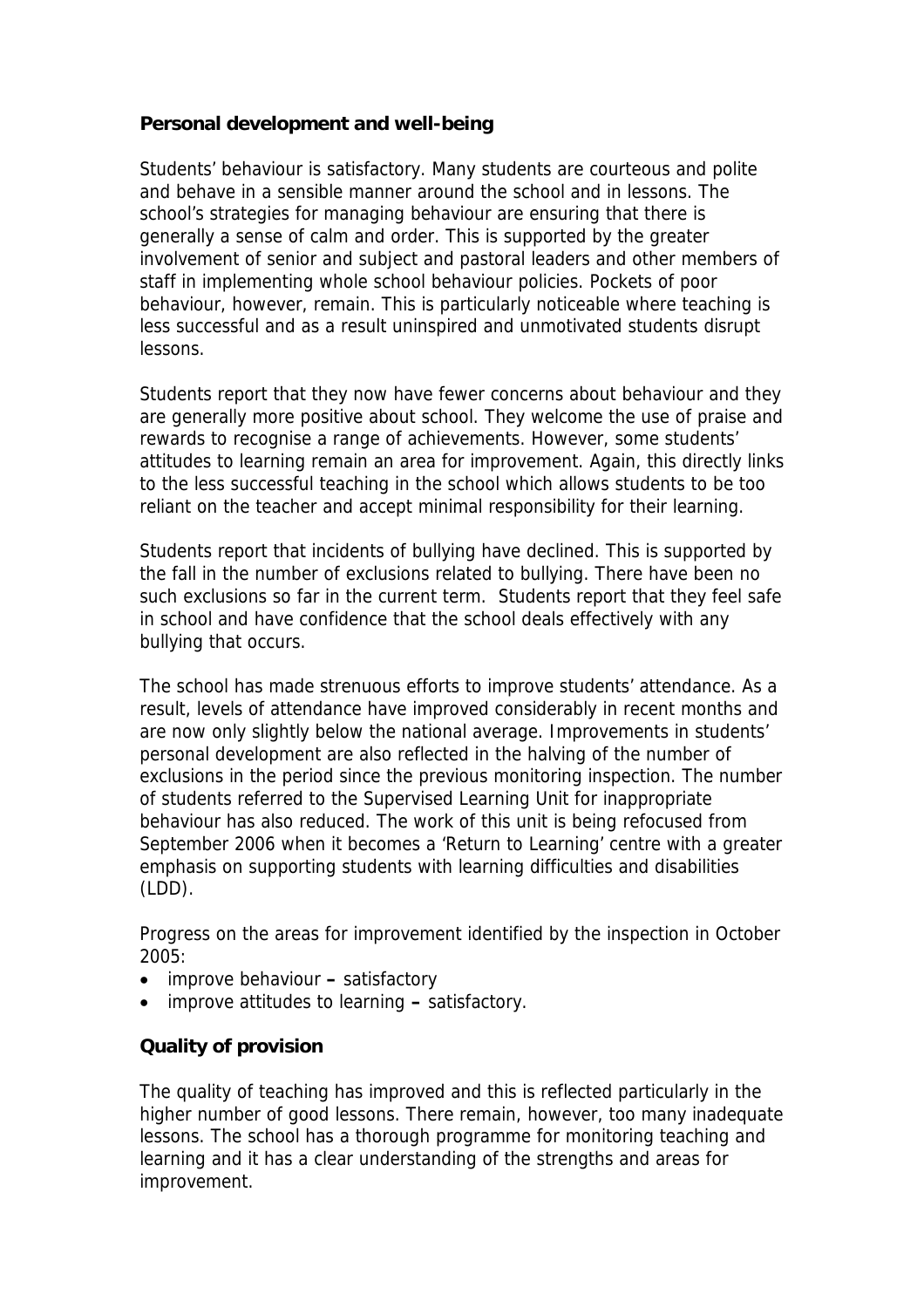# **Personal development and well-being**

Students' behaviour is satisfactory. Many students are courteous and polite and behave in a sensible manner around the school and in lessons. The school's strategies for managing behaviour are ensuring that there is generally a sense of calm and order. This is supported by the greater involvement of senior and subject and pastoral leaders and other members of staff in implementing whole school behaviour policies. Pockets of poor behaviour, however, remain. This is particularly noticeable where teaching is less successful and as a result uninspired and unmotivated students disrupt lessons.

Students report that they now have fewer concerns about behaviour and they are generally more positive about school. They welcome the use of praise and rewards to recognise a range of achievements. However, some students' attitudes to learning remain an area for improvement. Again, this directly links to the less successful teaching in the school which allows students to be too reliant on the teacher and accept minimal responsibility for their learning.

Students report that incidents of bullying have declined. This is supported by the fall in the number of exclusions related to bullying. There have been no such exclusions so far in the current term. Students report that they feel safe in school and have confidence that the school deals effectively with any bullying that occurs.

The school has made strenuous efforts to improve students' attendance. As a result, levels of attendance have improved considerably in recent months and are now only slightly below the national average. Improvements in students' personal development are also reflected in the halving of the number of exclusions in the period since the previous monitoring inspection. The number of students referred to the Supervised Learning Unit for inappropriate behaviour has also reduced. The work of this unit is being refocused from September 2006 when it becomes a 'Return to Learning' centre with a greater emphasis on supporting students with learning difficulties and disabilities (LDD).

Progress on the areas for improvement identified by the inspection in October 2005:

- improve behavioursatisfactory
- improve attitudes to learning satisfactory.

### **Quality of provision**

The quality of teaching has improved and this is reflected particularly in the higher number of good lessons. There remain, however, too many inadequate lessons. The school has a thorough programme for monitoring teaching and learning and it has a clear understanding of the strengths and areas for improvement.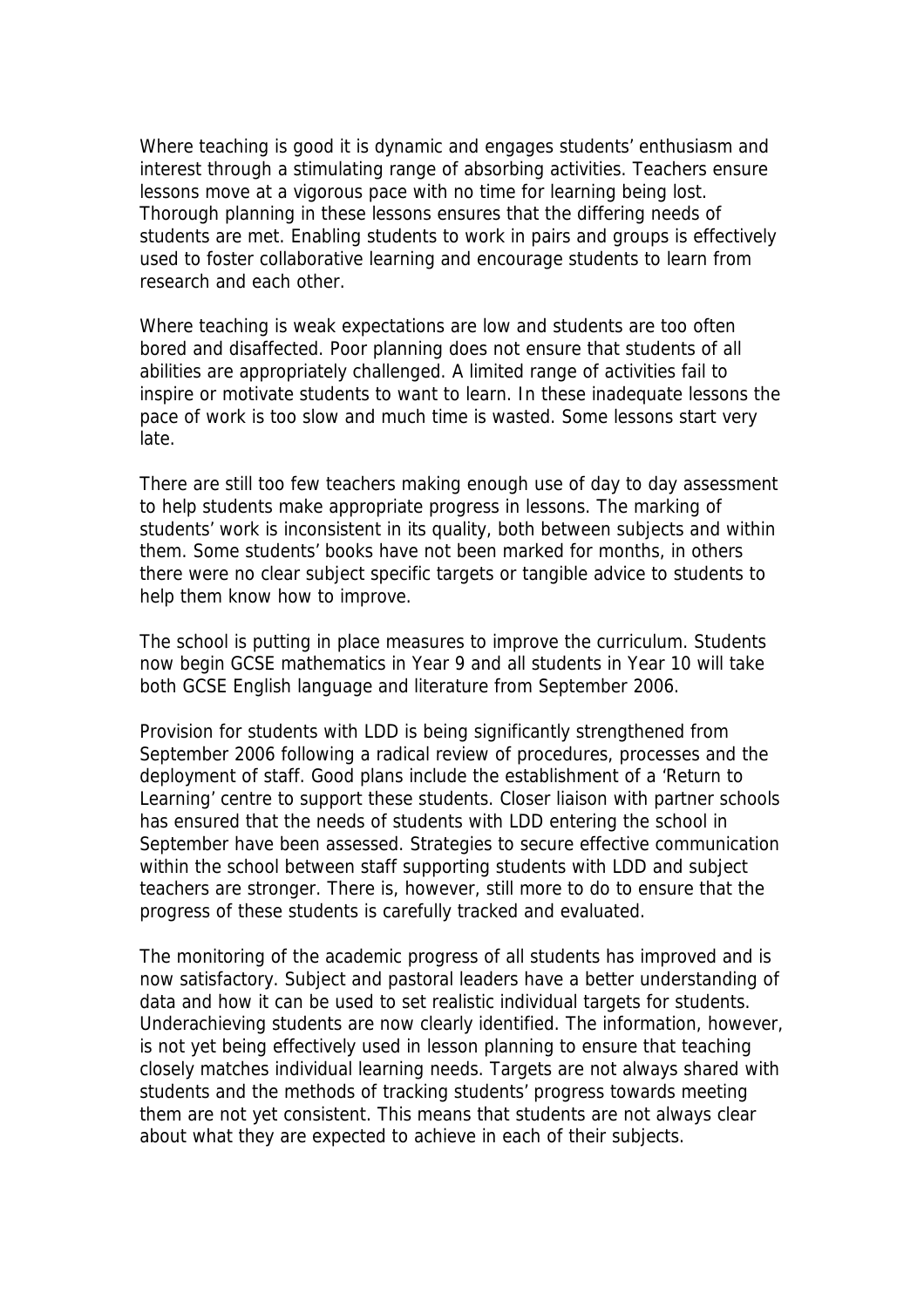Where teaching is good it is dynamic and engages students' enthusiasm and interest through a stimulating range of absorbing activities. Teachers ensure lessons move at a vigorous pace with no time for learning being lost. Thorough planning in these lessons ensures that the differing needs of students are met. Enabling students to work in pairs and groups is effectively used to foster collaborative learning and encourage students to learn from research and each other.

Where teaching is weak expectations are low and students are too often bored and disaffected. Poor planning does not ensure that students of all abilities are appropriately challenged. A limited range of activities fail to inspire or motivate students to want to learn. In these inadequate lessons the pace of work is too slow and much time is wasted. Some lessons start very late.

There are still too few teachers making enough use of day to day assessment to help students make appropriate progress in lessons. The marking of students' work is inconsistent in its quality, both between subjects and within them. Some students' books have not been marked for months, in others there were no clear subject specific targets or tangible advice to students to help them know how to improve.

The school is putting in place measures to improve the curriculum. Students now begin GCSE mathematics in Year 9 and all students in Year 10 will take both GCSE English language and literature from September 2006.

Provision for students with LDD is being significantly strengthened from September 2006 following a radical review of procedures, processes and the deployment of staff. Good plans include the establishment of a 'Return to Learning' centre to support these students. Closer liaison with partner schools has ensured that the needs of students with LDD entering the school in September have been assessed. Strategies to secure effective communication within the school between staff supporting students with LDD and subject teachers are stronger. There is, however, still more to do to ensure that the progress of these students is carefully tracked and evaluated.

The monitoring of the academic progress of all students has improved and is now satisfactory. Subject and pastoral leaders have a better understanding of data and how it can be used to set realistic individual targets for students. Underachieving students are now clearly identified. The information, however, is not yet being effectively used in lesson planning to ensure that teaching closely matches individual learning needs. Targets are not always shared with students and the methods of tracking students' progress towards meeting them are not yet consistent. This means that students are not always clear about what they are expected to achieve in each of their subjects.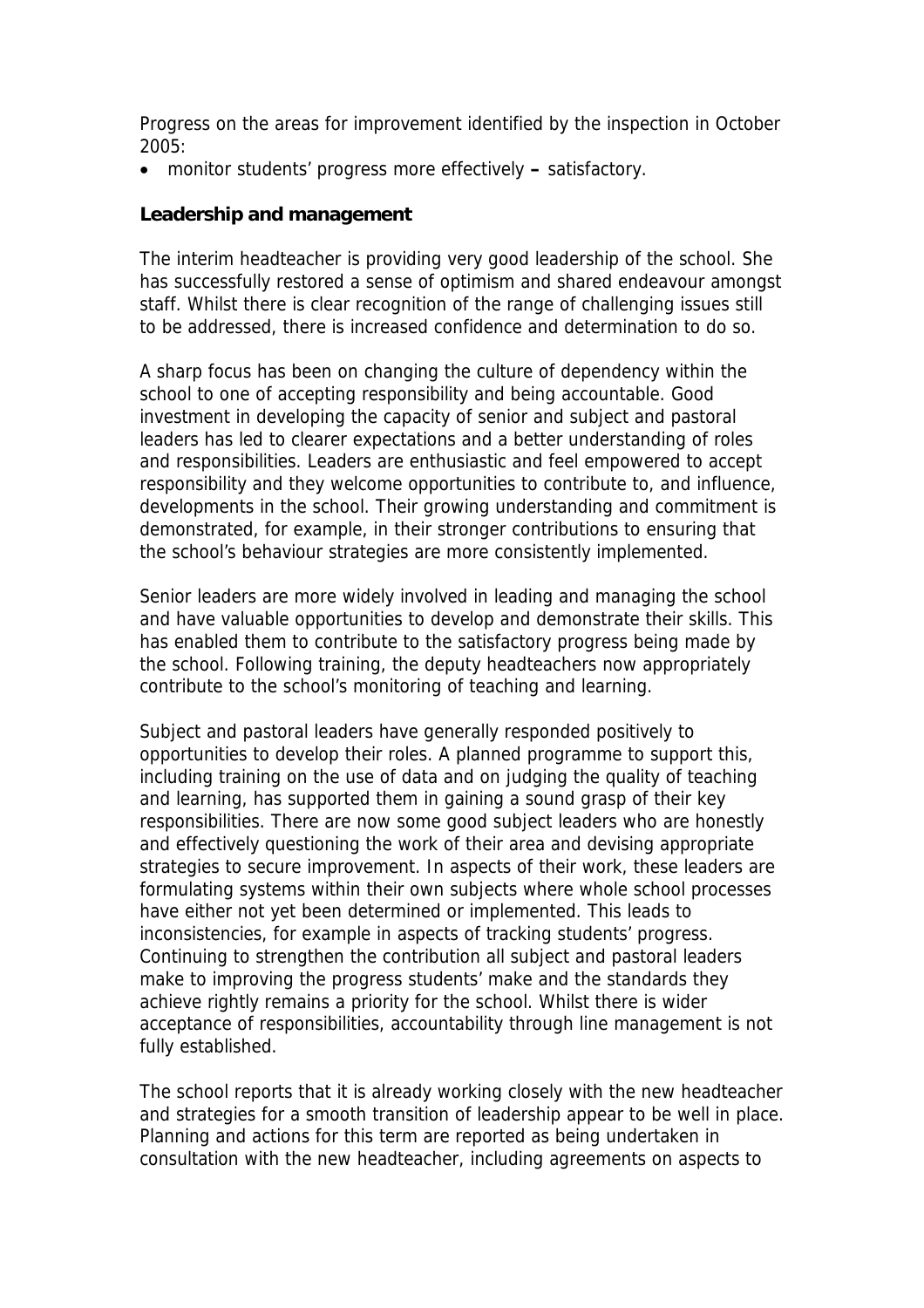Progress on the areas for improvement identified by the inspection in October 2005:

• monitor students' progress more effectively **–** satisfactory.

#### **Leadership and management**

The interim headteacher is providing very good leadership of the school. She has successfully restored a sense of optimism and shared endeavour amongst staff. Whilst there is clear recognition of the range of challenging issues still to be addressed, there is increased confidence and determination to do so.

A sharp focus has been on changing the culture of dependency within the school to one of accepting responsibility and being accountable. Good investment in developing the capacity of senior and subject and pastoral leaders has led to clearer expectations and a better understanding of roles and responsibilities. Leaders are enthusiastic and feel empowered to accept responsibility and they welcome opportunities to contribute to, and influence, developments in the school. Their growing understanding and commitment is demonstrated, for example, in their stronger contributions to ensuring that the school's behaviour strategies are more consistently implemented.

Senior leaders are more widely involved in leading and managing the school and have valuable opportunities to develop and demonstrate their skills. This has enabled them to contribute to the satisfactory progress being made by the school. Following training, the deputy headteachers now appropriately contribute to the school's monitoring of teaching and learning.

Subject and pastoral leaders have generally responded positively to opportunities to develop their roles. A planned programme to support this, including training on the use of data and on judging the quality of teaching and learning, has supported them in gaining a sound grasp of their key responsibilities. There are now some good subject leaders who are honestly and effectively questioning the work of their area and devising appropriate strategies to secure improvement. In aspects of their work, these leaders are formulating systems within their own subjects where whole school processes have either not yet been determined or implemented. This leads to inconsistencies, for example in aspects of tracking students' progress. Continuing to strengthen the contribution all subject and pastoral leaders make to improving the progress students' make and the standards they achieve rightly remains a priority for the school. Whilst there is wider acceptance of responsibilities, accountability through line management is not fully established.

The school reports that it is already working closely with the new headteacher and strategies for a smooth transition of leadership appear to be well in place. Planning and actions for this term are reported as being undertaken in consultation with the new headteacher, including agreements on aspects to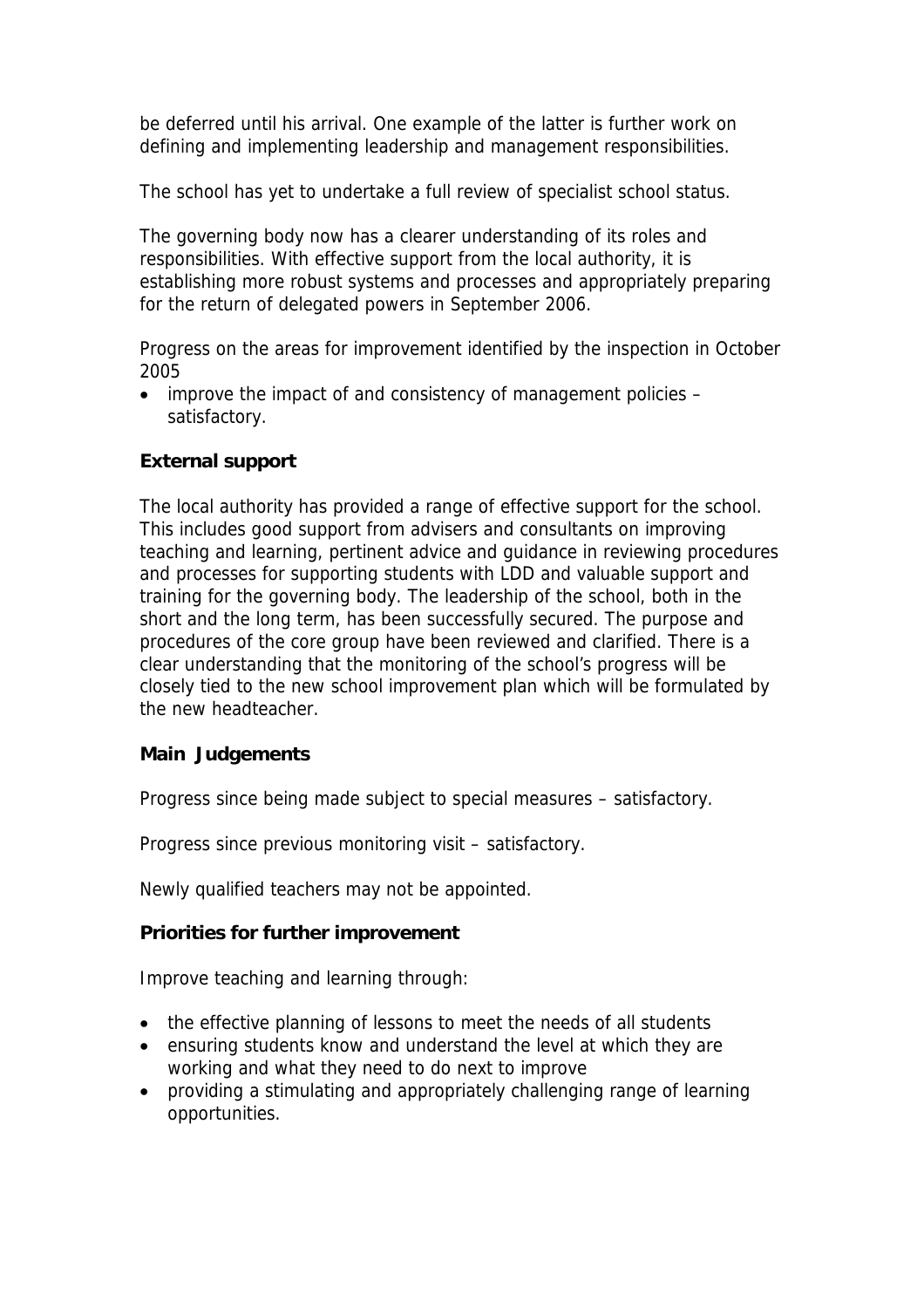be deferred until his arrival. One example of the latter is further work on defining and implementing leadership and management responsibilities.

The school has yet to undertake a full review of specialist school status.

The governing body now has a clearer understanding of its roles and responsibilities. With effective support from the local authority, it is establishing more robust systems and processes and appropriately preparing for the return of delegated powers in September 2006.

Progress on the areas for improvement identified by the inspection in October 2005

• improve the impact of and consistency of management policies – satisfactory.

# **External support**

The local authority has provided a range of effective support for the school. This includes good support from advisers and consultants on improving teaching and learning, pertinent advice and guidance in reviewing procedures and processes for supporting students with LDD and valuable support and training for the governing body. The leadership of the school, both in the short and the long term, has been successfully secured. The purpose and procedures of the core group have been reviewed and clarified. There is a clear understanding that the monitoring of the school's progress will be closely tied to the new school improvement plan which will be formulated by the new headteacher.

### **Main Judgements**

Progress since being made subject to special measures – satisfactory.

Progress since previous monitoring visit – satisfactory.

Newly qualified teachers may not be appointed.

### **Priorities for further improvement**

Improve teaching and learning through:

- the effective planning of lessons to meet the needs of all students
- ensuring students know and understand the level at which they are working and what they need to do next to improve
- providing a stimulating and appropriately challenging range of learning opportunities.